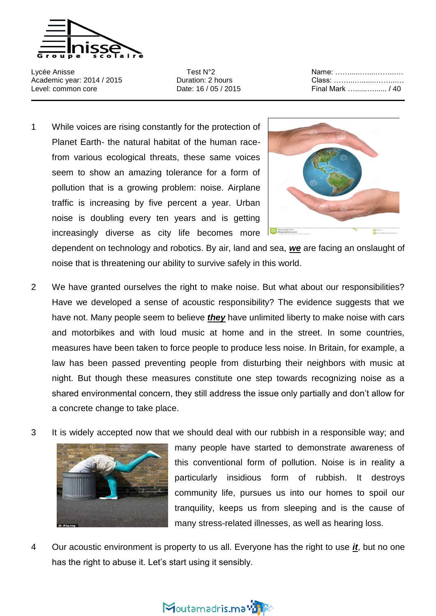

Lycée Anisse Test N°2 Name: …….....…....……...… Academic year: 2014 / 2015 **Duration: 2 hours Class: ............................** Level: common core Date: 16 / 05 / 2015 Final Mark …......…...... / 40

1 While voices are rising constantly for the protection of Planet Earth- the natural habitat of the human racefrom various ecological threats, these same voices seem to show an amazing tolerance for a form of pollution that is a growing problem: noise. Airplane traffic is increasing by five percent a year. Urban noise is doubling every ten years and is getting increasingly diverse as city life becomes more



dependent on technology and robotics. By air, land and sea, *we* are facing an onslaught of noise that is threatening our ability to survive safely in this world.

- 2 We have granted ourselves the right to make noise. But what about our responsibilities? Have we developed a sense of acoustic responsibility? The evidence suggests that we have not. Many people seem to believe *they* have unlimited liberty to make noise with cars and motorbikes and with loud music at home and in the street. In some countries, measures have been taken to force people to produce less noise. In Britain, for example, a law has been passed preventing people from disturbing their neighbors with music at night. But though these measures constitute one step towards recognizing noise as a shared environmental concern, they still address the issue only partially and don't allow for a concrete change to take place.
- 3 It is widely accepted now that we should deal with our rubbish in a responsible way; and



many people have started to demonstrate awareness of this conventional form of pollution. Noise is in reality a particularly insidious form of rubbish. It destroys community life, pursues us into our homes to spoil our tranquility, keeps us from sleeping and is the cause of many stress-related illnesses, as well as hearing loss.

4 Our acoustic environment is property to us all. Everyone has the right to use *it*, but no one has the right to abuse it. Let's start using it sensibly.

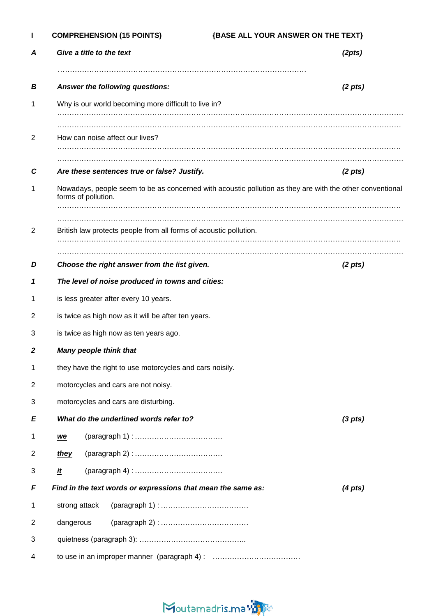| L              | <b>COMPREHENSION (15 POINTS)</b>                    |                                                                                   | {BASE ALL YOUR ANSWER ON THE TEXT}                                                                       |  |
|----------------|-----------------------------------------------------|-----------------------------------------------------------------------------------|----------------------------------------------------------------------------------------------------------|--|
| Α              |                                                     | Give a title to the text                                                          | (2pts)                                                                                                   |  |
| B              |                                                     | Answer the following questions:                                                   | $(2 \; pts)$                                                                                             |  |
| 1              |                                                     | Why is our world becoming more difficult to live in?                              |                                                                                                          |  |
|                |                                                     |                                                                                   |                                                                                                          |  |
| 2              |                                                     | How can noise affect our lives?                                                   |                                                                                                          |  |
| С              |                                                     | Are these sentences true or false? Justify.                                       | (2 <i>pts</i> )                                                                                          |  |
| 1              | forms of pollution.                                 |                                                                                   | Nowadays, people seem to be as concerned with acoustic pollution as they are with the other conventional |  |
| 2              |                                                     | British law protects people from all forms of acoustic pollution.                 |                                                                                                          |  |
| D              |                                                     | Choose the right answer from the list given.                                      | $(2 \; pts)$                                                                                             |  |
| 1              | The level of noise produced in towns and cities:    |                                                                                   |                                                                                                          |  |
| 1              | is less greater after every 10 years.               |                                                                                   |                                                                                                          |  |
| 2              | is twice as high now as it will be after ten years. |                                                                                   |                                                                                                          |  |
| 3              | is twice as high now as ten years ago.              |                                                                                   |                                                                                                          |  |
| 2              |                                                     | Many people think that                                                            |                                                                                                          |  |
| 1              |                                                     | they have the right to use motorcycles and cars noisily.                          |                                                                                                          |  |
| $\overline{c}$ | motorcycles and cars are not noisy.                 |                                                                                   |                                                                                                          |  |
| 3              | motorcycles and cars are disturbing.                |                                                                                   |                                                                                                          |  |
| E              | What do the underlined words refer to?              |                                                                                   | (3 <sub>p</sub> ts)                                                                                      |  |
| 1              | $we$                                                |                                                                                   |                                                                                                          |  |
| $\overline{c}$ | they                                                |                                                                                   |                                                                                                          |  |
| 3              | <u>it</u>                                           |                                                                                   |                                                                                                          |  |
| F              |                                                     | Find in the text words or expressions that mean the same as:<br>$(4 \text{ pts})$ |                                                                                                          |  |
| 1              | strong attack                                       |                                                                                   |                                                                                                          |  |
| $\overline{2}$ | dangerous                                           |                                                                                   |                                                                                                          |  |
| 3              |                                                     |                                                                                   |                                                                                                          |  |
| 4              |                                                     |                                                                                   |                                                                                                          |  |

# Moutamadris.ma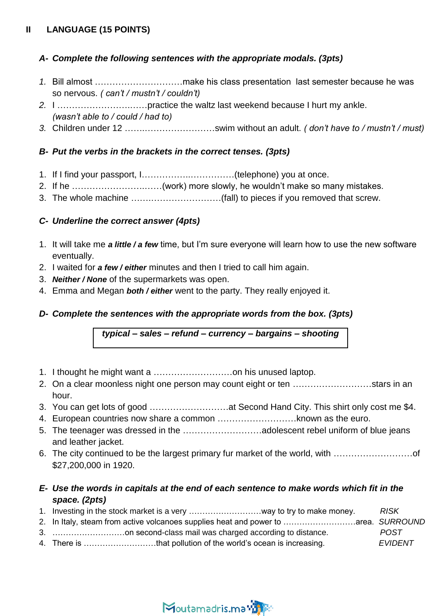## **II LANGUAGE (15 POINTS)**

#### *A- Complete the following sentences with the appropriate modals. (3pts)*

- *1.* Bill almost …………………………make his class presentation last semester because he was so nervous. *( can't / mustn't / couldn't)*
- *2.* I …………………….……practice the waltz last weekend because I hurt my ankle. *(wasn't able to / could / had to)*
- *3.* Children under 12 …….……………………swim without an adult. *( don't have to / mustn't / must)*

#### *B- Put the verbs in the brackets in the correct tenses. (3pts)*

- 1. If I find your passport, I……………..……………(telephone) you at once.
- 2. If he …………………….……(work) more slowly, he wouldn't make so many mistakes.
- 3. The whole machine …….……………………(fall) to pieces if you removed that screw.

## *C- Underline the correct answer (4pts)*

- 1. It will take me *a little / a few* time, but I'm sure everyone will learn how to use the new software eventually.
- 2. I waited for *a few / either* minutes and then I tried to call him again.
- 3. *Neither / None* of the supermarkets was open.
- 4. Emma and Megan *both / either* went to the party. They really enjoyed it.

## *D- Complete the sentences with the appropriate words from the box. (3pts)*

*typical – sales – refund – currency – bargains – shooting*

- 1. I thought he might want a ………………………on his unused laptop.
- 2. On a clear moonless night one person may count eight or ten ………………………stars in an hour.
- 3. You can get lots of good ………………………at Second Hand City. This shirt only cost me \$4.
- 4. European countries now share a common ………………………known as the euro.
- 5. The teenager was dressed in the ………………………adolescent rebel uniform of blue jeans and leather jacket.
- 6. The city continued to be the largest primary fur market of the world, with ………………………of \$27,200,000 in 1920.

## *E- Use the words in capitals at the end of each sentence to make words which fit in the space. (2pts)*

- 1. Investing in the stock market is a very ………………………way to try to make money. *RISK*
- 2. In Italy, steam from active volcanoes supplies heat and power to ………………………area. *SURROUND* 3. ………………………on second-class mail was charged according to distance. *POST*
- 4. There is ………………………that pollution of the world's ocean is increasing. *EVIDENT*